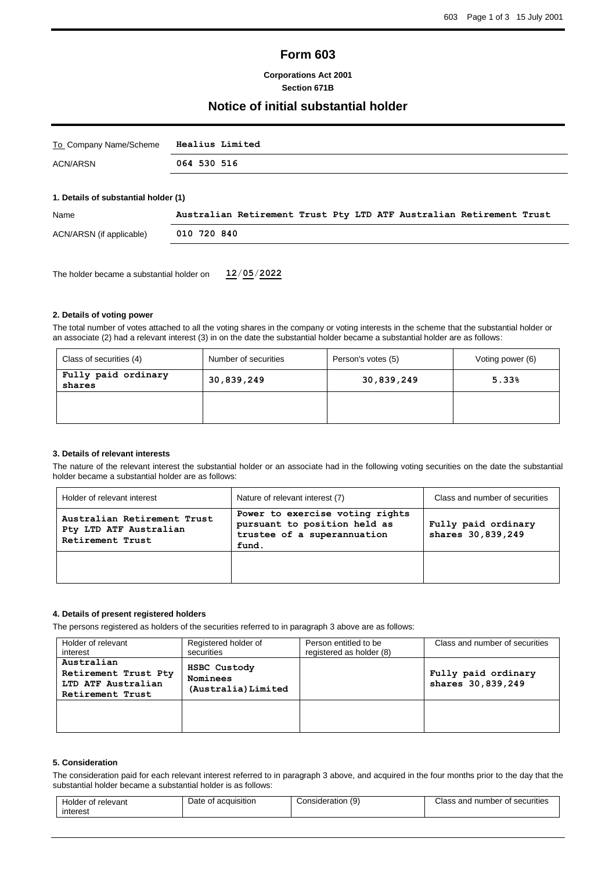## **Form 603**

#### **Corporations Act 2001 Section 671B**

### **Notice of initial substantial holder**

| To Company Name/Scheme               | Healius Limited                                                     |  |  |  |  |  |  |  |
|--------------------------------------|---------------------------------------------------------------------|--|--|--|--|--|--|--|
| ACN/ARSN                             | 064 530 516                                                         |  |  |  |  |  |  |  |
|                                      |                                                                     |  |  |  |  |  |  |  |
| 1. Details of substantial holder (1) |                                                                     |  |  |  |  |  |  |  |
| Name                                 | Australian Retirement Trust Pty LTD ATF Australian Retirement Trust |  |  |  |  |  |  |  |

| <b>INGHILE</b>           | Australian Retilement liust Fty Lib Air Australian Retilement liust |
|--------------------------|---------------------------------------------------------------------|
| ACN/ARSN (if applicable) | 010 720 840                                                         |
|                          |                                                                     |

The holder became a substantial holder on **12**/**05**/**2022**

#### **2. Details of voting power**

The total number of votes attached to all the voting shares in the company or voting interests in the scheme that the substantial holder or an associate (2) had a relevant interest (3) in on the date the substantial holder became a substantial holder are as follows:

| Class of securities (4)       | Number of securities | Person's votes (5) | Voting power (6) |  |
|-------------------------------|----------------------|--------------------|------------------|--|
| Fully paid ordinary<br>shares | 30,839,249           |                    | 5.33%            |  |
|                               |                      |                    |                  |  |
|                               |                      |                    |                  |  |

#### **3. Details of relevant interests**

The nature of the relevant interest the substantial holder or an associate had in the following voting securities on the date the substantial holder became a substantial holder are as follows:

| Holder of relevant interest<br>Nature of relevant interest (7)            |                                                                                                         | Class and number of securities           |
|---------------------------------------------------------------------------|---------------------------------------------------------------------------------------------------------|------------------------------------------|
| Australian Retirement Trust<br>Pty LTD ATF Australian<br>Retirement Trust | Power to exercise voting rights<br>pursuant to position held as<br>trustee of a superannuation<br>fund. | Fully paid ordinary<br>shares 30,839,249 |
|                                                                           |                                                                                                         |                                          |

#### **4. Details of present registered holders**

The persons registered as holders of the securities referred to in paragraph 3 above are as follows:

| Holder of relevant                                                           | Registered holder of                            | Person entitled to be    | Class and number of securities           |
|------------------------------------------------------------------------------|-------------------------------------------------|--------------------------|------------------------------------------|
| interest                                                                     | securities                                      | registered as holder (8) |                                          |
| Australian<br>Retirement Trust Pty<br>LTD ATF Australian<br>Retirement Trust | HSBC Custody<br>Nominees<br>(Australia) Limited |                          | Fully paid ordinary<br>shares 30,839,249 |
|                                                                              |                                                 |                          |                                          |

#### **5. Consideration**

The consideration paid for each relevant interest referred to in paragraph 3 above, and acquired in the four months prior to the day that the substantial holder became a substantial holder is as follows:

| r of relevant<br>Holder<br>interest | Date<br>of acquisition | (9<br>Consideration | Class and number of securities |
|-------------------------------------|------------------------|---------------------|--------------------------------|
|                                     |                        |                     |                                |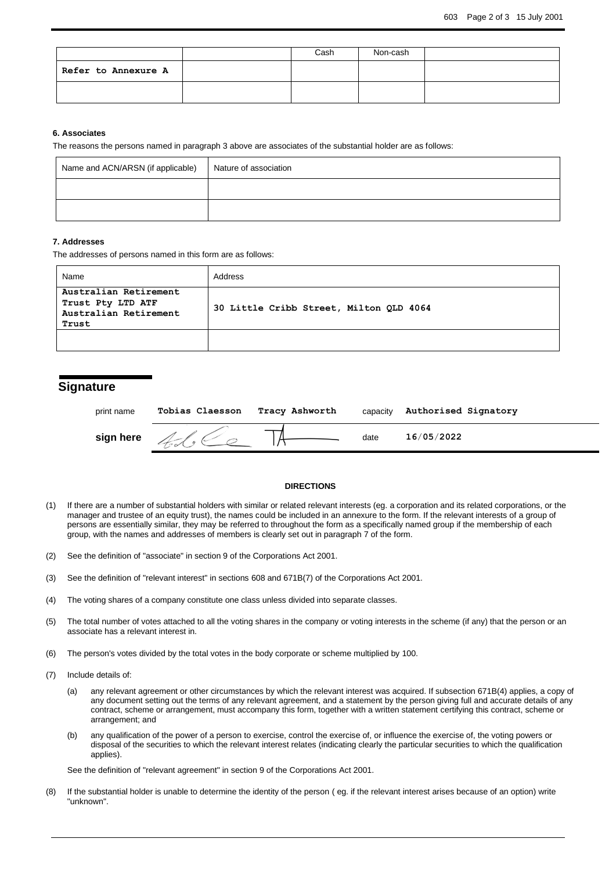|                     | Cash | Non-cash |  |
|---------------------|------|----------|--|
| Refer to Annexure A |      |          |  |
|                     |      |          |  |

#### **6. Associates**

The reasons the persons named in paragraph 3 above are associates of the substantial holder are as follows:

| Name and ACN/ARSN (if applicable) | Nature of association |
|-----------------------------------|-----------------------|
|                                   |                       |
|                                   |                       |

#### **7. Addresses**

The addresses of persons named in this form are as follows:

| Name                                                                         | Address                                 |
|------------------------------------------------------------------------------|-----------------------------------------|
| Australian Retirement<br>Trust Pty LTD ATF<br>Australian Retirement<br>Trust | 30 Little Cribb Street, Milton OLD 4064 |
|                                                                              |                                         |

### **Signature**

| print name | Tobias Claesson | Tracy Ashworth | capacity | Authorised Signatory |
|------------|-----------------|----------------|----------|----------------------|
| sign here  |                 |                | date     | 16/05/2022           |

#### **DIRECTIONS**

- (1) If there are a number of substantial holders with similar or related relevant interests (eg. a corporation and its related corporations, or the manager and trustee of an equity trust), the names could be included in an annexure to the form. If the relevant interests of a group of persons are essentially similar, they may be referred to throughout the form as a specifically named group if the membership of each group, with the names and addresses of members is clearly set out in paragraph 7 of the form.
- (2) See the definition of "associate" in section 9 of the Corporations Act 2001.
- (3) See the definition of "relevant interest" in sections 608 and 671B(7) of the Corporations Act 2001.
- (4) The voting shares of a company constitute one class unless divided into separate classes.
- (5) The total number of votes attached to all the voting shares in the company or voting interests in the scheme (if any) that the person or an associate has a relevant interest in.
- (6) The person's votes divided by the total votes in the body corporate or scheme multiplied by 100.
- (7) Include details of:
	- (a) any relevant agreement or other circumstances by which the relevant interest was acquired. If subsection 671B(4) applies, a copy of any document setting out the terms of any relevant agreement, and a statement by the person giving full and accurate details of any contract, scheme or arrangement, must accompany this form, together with a written statement certifying this contract, scheme or arrangement; and
	- (b) any qualification of the power of a person to exercise, control the exercise of, or influence the exercise of, the voting powers or disposal of the securities to which the relevant interest relates (indicating clearly the particular securities to which the qualification applies).

See the definition of "relevant agreement" in section 9 of the Corporations Act 2001.

(8) If the substantial holder is unable to determine the identity of the person ( eg. if the relevant interest arises because of an option) write "unknown".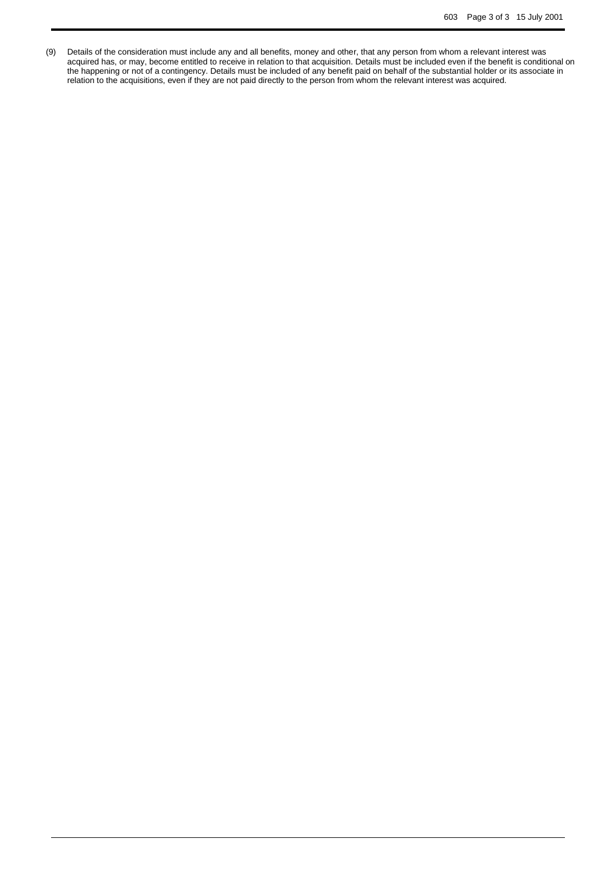(9) Details of the consideration must include any and all benefits, money and other, that any person from whom a relevant interest was acquired has, or may, become entitled to receive in relation to that acquisition. Details must be included even if the benefit is conditional on the happening or not of a contingency. Details must be included of any benefit paid on behalf of the substantial holder or its associate in relation to the acquisitions, even if they are not paid directly to the person from whom the relevant interest was acquired.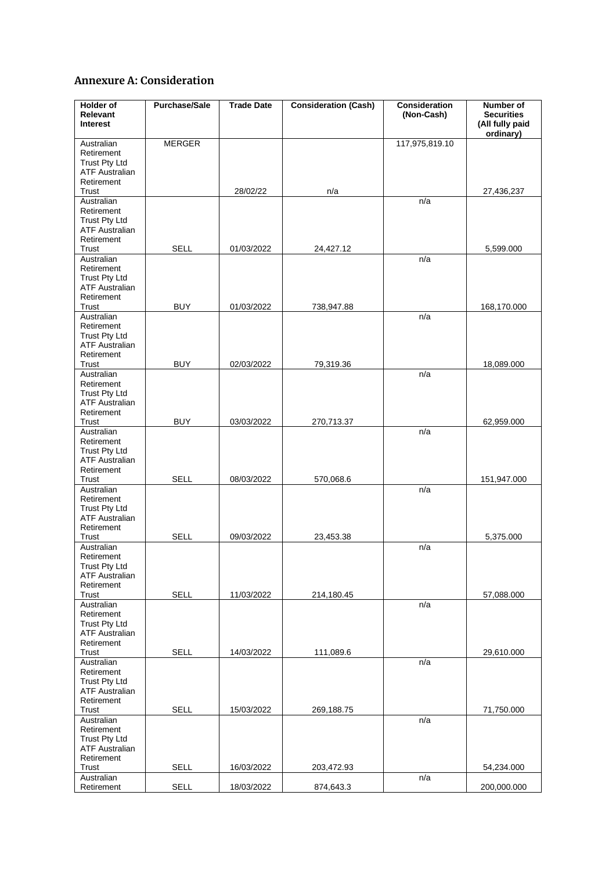# **Annexure A: Consideration**

| Holder of<br>Relevant<br><b>Interest</b>      | <b>Purchase/Sale</b> | <b>Trade Date</b> | <b>Consideration (Cash)</b> | <b>Consideration</b><br>(Non-Cash) | Number of<br><b>Securities</b><br>(All fully paid |
|-----------------------------------------------|----------------------|-------------------|-----------------------------|------------------------------------|---------------------------------------------------|
| Australian                                    | <b>MERGER</b>        |                   |                             | 117,975,819.10                     | ordinary)                                         |
| Retirement                                    |                      |                   |                             |                                    |                                                   |
| <b>Trust Pty Ltd</b>                          |                      |                   |                             |                                    |                                                   |
| <b>ATF Australian</b><br>Retirement           |                      |                   |                             |                                    |                                                   |
| Trust                                         |                      | 28/02/22          | n/a                         |                                    | 27,436,237                                        |
| Australian                                    |                      |                   |                             | n/a                                |                                                   |
| Retirement                                    |                      |                   |                             |                                    |                                                   |
| <b>Trust Pty Ltd</b><br><b>ATF Australian</b> |                      |                   |                             |                                    |                                                   |
| Retirement                                    |                      |                   |                             |                                    |                                                   |
| Trust                                         | <b>SELL</b>          | 01/03/2022        | 24,427.12                   |                                    | 5,599.000                                         |
| Australian<br>Retirement                      |                      |                   |                             | n/a                                |                                                   |
| Trust Pty Ltd                                 |                      |                   |                             |                                    |                                                   |
| <b>ATF Australian</b>                         |                      |                   |                             |                                    |                                                   |
| Retirement<br>Trust                           | <b>BUY</b>           | 01/03/2022        | 738,947.88                  |                                    | 168,170.000                                       |
| Australian                                    |                      |                   |                             | n/a                                |                                                   |
| Retirement                                    |                      |                   |                             |                                    |                                                   |
| <b>Trust Pty Ltd</b>                          |                      |                   |                             |                                    |                                                   |
| <b>ATF Australian</b><br>Retirement           |                      |                   |                             |                                    |                                                   |
| Trust                                         | <b>BUY</b>           | 02/03/2022        | 79,319.36                   |                                    | 18,089.000                                        |
| Australian                                    |                      |                   |                             | n/a                                |                                                   |
| Retirement<br><b>Trust Pty Ltd</b>            |                      |                   |                             |                                    |                                                   |
| <b>ATF Australian</b>                         |                      |                   |                             |                                    |                                                   |
| Retirement                                    |                      |                   |                             |                                    |                                                   |
| Trust<br>Australian                           | <b>BUY</b>           | 03/03/2022        | 270,713.37                  | n/a                                | 62,959.000                                        |
| Retirement                                    |                      |                   |                             |                                    |                                                   |
| <b>Trust Pty Ltd</b>                          |                      |                   |                             |                                    |                                                   |
| <b>ATF Australian</b>                         |                      |                   |                             |                                    |                                                   |
| Retirement<br>Trust                           | <b>SELL</b>          | 08/03/2022        | 570,068.6                   |                                    | 151,947.000                                       |
| Australian                                    |                      |                   |                             | n/a                                |                                                   |
| Retirement                                    |                      |                   |                             |                                    |                                                   |
| <b>Trust Pty Ltd</b><br><b>ATF Australian</b> |                      |                   |                             |                                    |                                                   |
| Retirement                                    |                      |                   |                             |                                    |                                                   |
| Trust                                         | <b>SELL</b>          | 09/03/2022        | 23,453.38                   |                                    | 5,375.000                                         |
| Australian<br>Retirement                      |                      |                   |                             | n/a                                |                                                   |
| <b>Trust Pty Ltd</b>                          |                      |                   |                             |                                    |                                                   |
| <b>ATF Australian</b>                         |                      |                   |                             |                                    |                                                   |
| Retirement<br>Trust                           | <b>SELL</b>          | 11/03/2022        | 214,180.45                  |                                    | 57,088.000                                        |
| Australian                                    |                      |                   |                             | n/a                                |                                                   |
| Retirement                                    |                      |                   |                             |                                    |                                                   |
| <b>Trust Pty Ltd</b><br><b>ATF Australian</b> |                      |                   |                             |                                    |                                                   |
| Retirement                                    |                      |                   |                             |                                    |                                                   |
| Trust                                         | <b>SELL</b>          | 14/03/2022        | 111,089.6                   |                                    | 29,610.000                                        |
| Australian                                    |                      |                   |                             | n/a                                |                                                   |
| Retirement<br><b>Trust Pty Ltd</b>            |                      |                   |                             |                                    |                                                   |
| <b>ATF Australian</b>                         |                      |                   |                             |                                    |                                                   |
| Retirement                                    |                      |                   |                             |                                    |                                                   |
| Trust<br>Australian                           | <b>SELL</b>          | 15/03/2022        | 269,188.75                  | n/a                                | 71,750.000                                        |
| Retirement                                    |                      |                   |                             |                                    |                                                   |
| <b>Trust Pty Ltd</b>                          |                      |                   |                             |                                    |                                                   |
| <b>ATF Australian</b><br>Retirement           |                      |                   |                             |                                    |                                                   |
| Trust                                         | <b>SELL</b>          | 16/03/2022        | 203,472.93                  |                                    | 54,234.000                                        |
| Australian                                    |                      |                   |                             | n/a                                |                                                   |
| Retirement                                    | <b>SELL</b>          | 18/03/2022        | 874,643.3                   |                                    | 200,000.000                                       |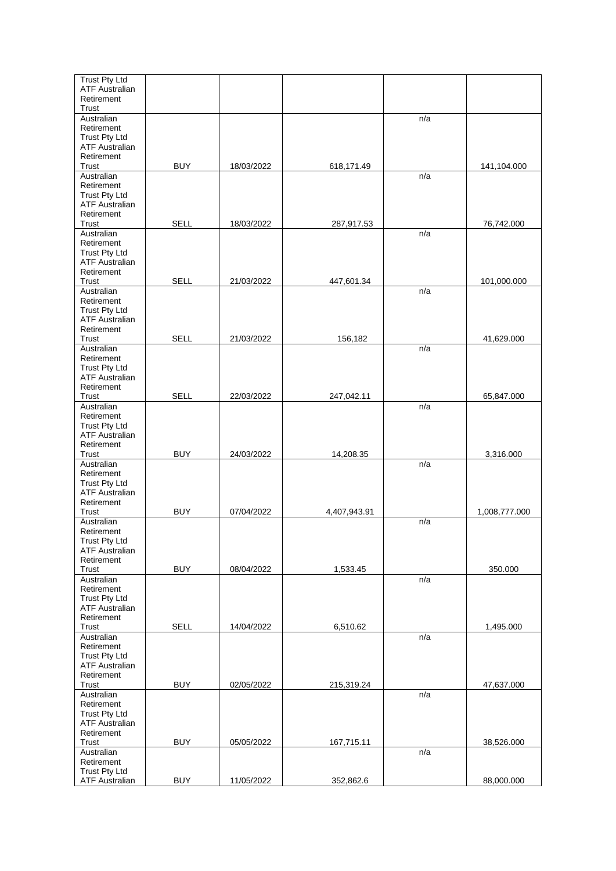| <b>Trust Pty Ltd</b>                          |             |            |              |     |               |
|-----------------------------------------------|-------------|------------|--------------|-----|---------------|
| <b>ATF Australian</b><br>Retirement           |             |            |              |     |               |
| Trust                                         |             |            |              |     |               |
| Australian                                    |             |            |              | n/a |               |
| Retirement                                    |             |            |              |     |               |
| <b>Trust Pty Ltd</b><br><b>ATF Australian</b> |             |            |              |     |               |
| Retirement                                    |             |            |              |     |               |
| Trust                                         | <b>BUY</b>  | 18/03/2022 | 618,171.49   |     | 141,104.000   |
| Australian                                    |             |            |              | n/a |               |
| Retirement                                    |             |            |              |     |               |
| <b>Trust Pty Ltd</b>                          |             |            |              |     |               |
| <b>ATF Australian</b><br>Retirement           |             |            |              |     |               |
| Trust                                         | <b>SELL</b> | 18/03/2022 | 287,917.53   |     | 76,742.000    |
| Australian                                    |             |            |              | n/a |               |
| Retirement                                    |             |            |              |     |               |
| <b>Trust Pty Ltd</b>                          |             |            |              |     |               |
| <b>ATF Australian</b>                         |             |            |              |     |               |
| Retirement<br>Trust                           | <b>SELL</b> | 21/03/2022 | 447,601.34   |     | 101,000.000   |
| Australian                                    |             |            |              | n/a |               |
| Retirement                                    |             |            |              |     |               |
| <b>Trust Pty Ltd</b>                          |             |            |              |     |               |
| <b>ATF Australian</b>                         |             |            |              |     |               |
| Retirement<br>Trust                           | <b>SELL</b> | 21/03/2022 | 156,182      |     | 41,629.000    |
| Australian                                    |             |            |              | n/a |               |
| Retirement                                    |             |            |              |     |               |
| <b>Trust Pty Ltd</b>                          |             |            |              |     |               |
| <b>ATF Australian</b>                         |             |            |              |     |               |
| Retirement                                    |             |            |              |     |               |
| Trust<br>Australian                           | <b>SELL</b> | 22/03/2022 | 247,042.11   | n/a | 65,847.000    |
| Retirement                                    |             |            |              |     |               |
| <b>Trust Pty Ltd</b>                          |             |            |              |     |               |
| <b>ATF Australian</b>                         |             |            |              |     |               |
| Retirement                                    |             |            |              |     |               |
| Trust<br>Australian                           | <b>BUY</b>  | 24/03/2022 | 14,208.35    | n/a | 3,316.000     |
| Retirement                                    |             |            |              |     |               |
| <b>Trust Pty Ltd</b>                          |             |            |              |     |               |
| <b>ATF Australian</b>                         |             |            |              |     |               |
| Retirement                                    |             |            |              |     |               |
| Trust                                         | <b>BUY</b>  | 07/04/2022 | 4,407,943.91 |     | 1,008,777.000 |
| Australian<br>Retirement                      |             |            |              | n/a |               |
| Trust Pty Ltd                                 |             |            |              |     |               |
| <b>ATF Australian</b>                         |             |            |              |     |               |
| Retirement                                    |             |            |              |     |               |
| Trust                                         | <b>BUY</b>  | 08/04/2022 | 1,533.45     |     | 350.000       |
| Australian<br>Retirement                      |             |            |              | n/a |               |
| <b>Trust Pty Ltd</b>                          |             |            |              |     |               |
| <b>ATF Australian</b>                         |             |            |              |     |               |
| Retirement                                    |             |            |              |     |               |
| Trust                                         | <b>SELL</b> | 14/04/2022 | 6,510.62     |     | 1,495.000     |
| Australian<br>Retirement                      |             |            |              | n/a |               |
| Trust Pty Ltd                                 |             |            |              |     |               |
| <b>ATF Australian</b>                         |             |            |              |     |               |
| Retirement                                    |             |            |              |     |               |
| Trust                                         | <b>BUY</b>  | 02/05/2022 | 215,319.24   |     | 47,637.000    |
| Australian                                    |             |            |              | n/a |               |
| Retirement<br><b>Trust Pty Ltd</b>            |             |            |              |     |               |
| <b>ATF Australian</b>                         |             |            |              |     |               |
| Retirement                                    |             |            |              |     |               |
| Trust                                         | <b>BUY</b>  | 05/05/2022 | 167,715.11   |     | 38,526.000    |
| Australian                                    |             |            |              | n/a |               |
| Retirement<br><b>Trust Pty Ltd</b>            |             |            |              |     |               |
| <b>ATF Australian</b>                         | <b>BUY</b>  | 11/05/2022 | 352,862.6    |     | 88,000.000    |
|                                               |             |            |              |     |               |